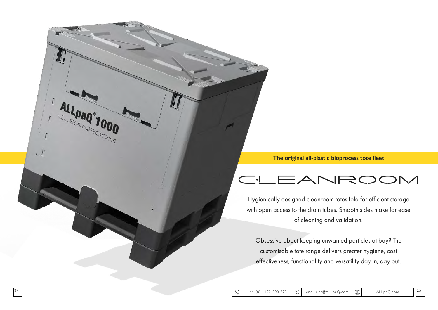ਵ

Hygienically designed cleanroom totes fold for efficient storage with open access to the drain tubes. Smooth sides make for ease of cleaning and validation.

A

 $\sqrt{1}$ 

ALL PaQ°1000

Obsessive about keeping unwanted particles at bay? The customisable tote range delivers greater hygiene, cost effectiveness, functionality and versatility day in, day out.



### **The original all-plastic bioprocess tote fleet**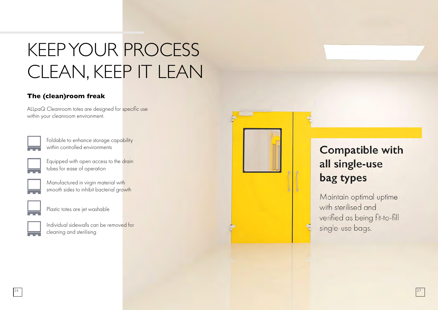# KEEP YOUR PROCESS CLEAN, KEEP IT LEAN

### **The (clean)room freak**

ALLpaQ Cleanroom totes are designed for specific use within your cleanroom environment.

> Foldable to enhance storage capability within controlled environments

Equipped with open access to the drain tubes for ease of operation



Manufactured in virgin material with smooth sides to inhibit bacterial growth



| Individual sidewalls can be removed for |  |
|-----------------------------------------|--|
| cleaning and sterilising                |  |



Maintain optimal uptime with sterilised and verified as being fit-to-fill single-use bags.

## **Compatible with** all single-use bag types

Plastic totes are jet washable